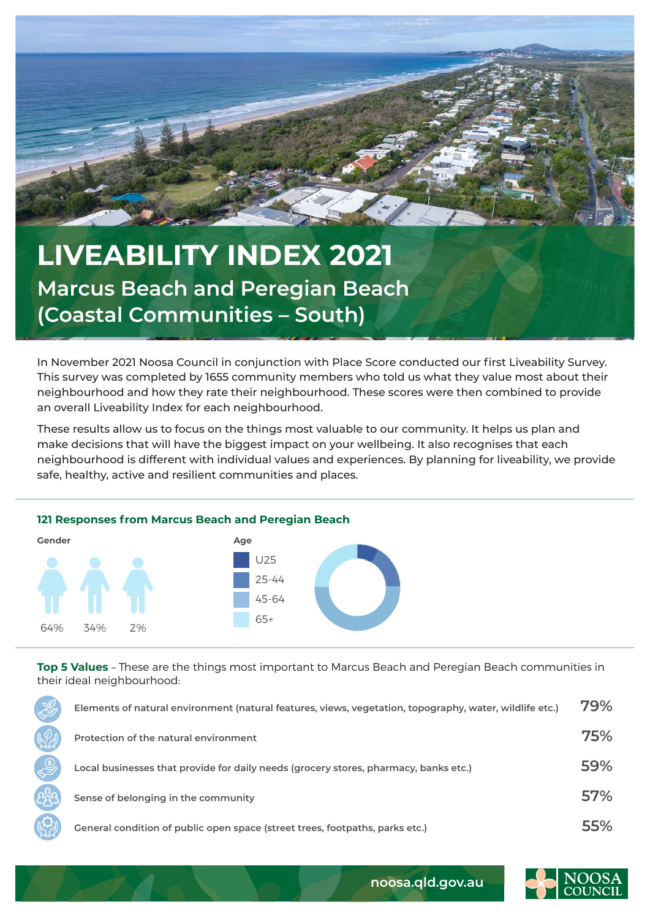

## **LIVEABILITY INDEX 2021 Marcus Beach and Peregian Beach (Coastal Communities – South)**

In November 2021 Noosa Council in conjunction with Place Score conducted our first Liveability Survey. This survey was completed by 1655 community members who told us what they value most about their neighbourhood and how they rate their neighbourhood. These scores were then combined to provide an overall Liveability Index for each neighbourhood.

These results allow us to focus on the things most valuable to our community. It helps us plan and make decisions that will have the biggest impact on your wellbeing. It also recognises that each neighbourhood is different with individual values and experiences. By planning for liveability, we provide safe, healthy, active and resilient communities and places.



**Top 5 Values** – These are the things most important to Marcus Beach and Peregian Beach communities in their ideal neighbourhood:

| Elements of natural environment (natural features, views, vegetation, topography, water, wildlife etc.) | 79% |
|---------------------------------------------------------------------------------------------------------|-----|
| Protection of the natural environment                                                                   | 75% |
| Local businesses that provide for daily needs (grocery stores, pharmacy, banks etc.)                    | 59% |
| Sense of belonging in the community                                                                     | 57% |
| General condition of public open space (street trees, footpaths, parks etc.)                            | 55% |



**noosa.qld.gov.au**